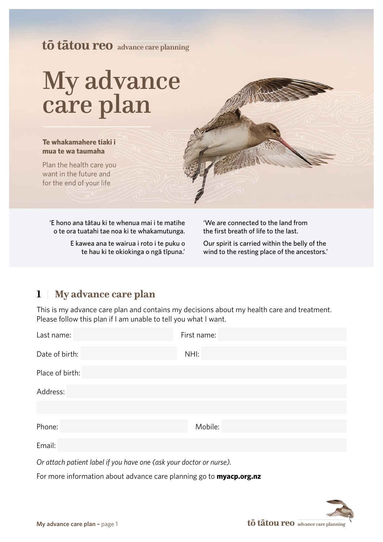## **tō tātou reo** advance care planning

# My advance care plan

**Te whakamahere tiaki i mua te wa taumaha**

Plan the health care you want in the future and for the end of your life

'E hono ana tātau ki te whenua mai i te matihe o te ora tuatahi tae noa ki te whakamutunga.

> E kawea ana te wairua i roto i te puku o te hau ki te okiokinga o ngā tīpuna.'

'We are connected to the land from the first breath of life to the last.

Our spirit is carried within the belly of the wind to the resting place of the ancestors.'

## **1** | **My advance care plan**

This is my advance care plan and contains my decisions about my health care and treatment. Please follow this plan if I am unable to tell you what I want.

| Last name:                                                                 | First name: |
|----------------------------------------------------------------------------|-------------|
| Date of birth:                                                             | NHI:        |
| Place of birth:                                                            |             |
| Address:                                                                   |             |
|                                                                            |             |
| Phone:                                                                     | Mobile:     |
| Email:                                                                     |             |
| Or attach patient label if you have one (ask your doctor or nurse).        |             |
| For more information about advance care planning go to <b>myacp.org.nz</b> |             |

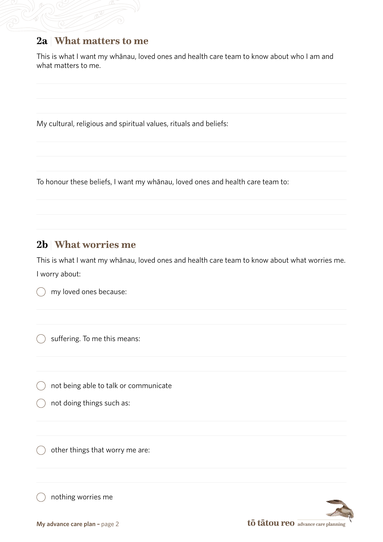### **2a** | **What matters to me**

This is what I want my whānau, loved ones and health care team to know about who I am and what matters to me.

My cultural, religious and spiritual values, rituals and beliefs:

To honour these beliefs, I want my whānau, loved ones and health care team to:

## **2b** | **What worries me**

This is what I want my whānau, loved ones and health care team to know about what worries me. I worry about:

my loved ones because:

) suffering. To me this means:

not being able to talk or communicate

not doing things such as:

other things that worry me are:

nothing worries me

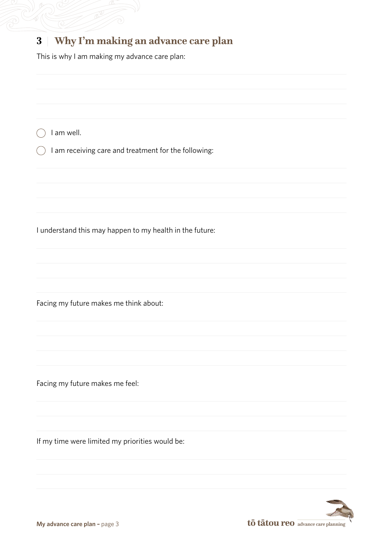## **3** | **Why I'm making an advance care plan**

This is why I am making my advance care plan:

 $\bigcap$  I am well.

 $\big)$  I am receiving care and treatment for the following:

I understand this may happen to my health in the future:

Facing my future makes me think about:

Facing my future makes me feel:

If my time were limited my priorities would be:

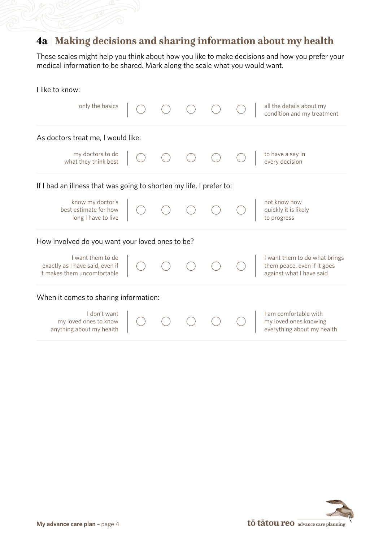## **4a** | **Making decisions and sharing information about my health**

These scales might help you think about how you like to make decisions and how you prefer your medical information to be shared. Mark along the scale what you would want.

| I like to know:                                                                     |  |  |                                                                                          |
|-------------------------------------------------------------------------------------|--|--|------------------------------------------------------------------------------------------|
| only the basics                                                                     |  |  | all the details about my<br>condition and my treatment                                   |
| As doctors treat me, I would like:                                                  |  |  |                                                                                          |
| my doctors to do<br>what they think best                                            |  |  | to have a say in<br>every decision                                                       |
| If I had an illness that was going to shorten my life, I prefer to:                 |  |  |                                                                                          |
| know my doctor's<br>best estimate for how<br>long I have to live                    |  |  | not know how<br>quickly it is likely<br>to progress                                      |
| How involved do you want your loved ones to be?                                     |  |  |                                                                                          |
| I want them to do<br>exactly as I have said, even if<br>it makes them uncomfortable |  |  | I want them to do what brings<br>them peace, even if it goes<br>against what I have said |
| When it comes to sharing information:                                               |  |  |                                                                                          |
| I don't want<br>my loved ones to know<br>anything about my health                   |  |  | I am comfortable with<br>my loved ones knowing<br>everything about my health             |
|                                                                                     |  |  |                                                                                          |

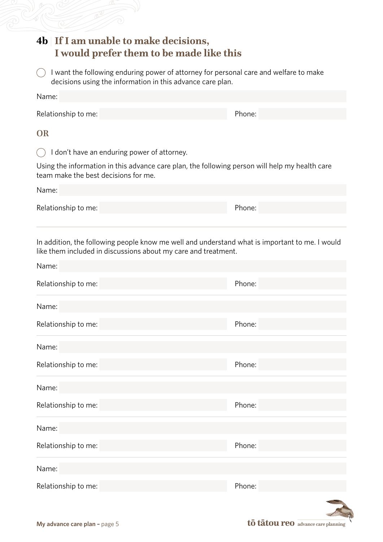| 4b If I am unable to make decisions,<br>I would prefer them to be made like this |                                                                                                |
|----------------------------------------------------------------------------------|------------------------------------------------------------------------------------------------|
| decisions using the information in this advance care plan.                       | I want the following enduring power of attorney for personal care and welfare to make          |
| Name:                                                                            |                                                                                                |
| Relationship to me:                                                              | Phone:                                                                                         |
| <b>OR</b>                                                                        |                                                                                                |
| I don't have an enduring power of attorney.                                      |                                                                                                |
| team make the best decisions for me.                                             | Using the information in this advance care plan, the following person will help my health care |
| Name:                                                                            |                                                                                                |
| Relationship to me:                                                              | Phone:                                                                                         |
|                                                                                  |                                                                                                |
|                                                                                  |                                                                                                |
| Relationship to me:                                                              | Phone:                                                                                         |
| Name:                                                                            |                                                                                                |
| Relationship to me:                                                              | Phone:                                                                                         |
|                                                                                  |                                                                                                |
| Name:<br>Relationship to me:                                                     | Phone:                                                                                         |
| Name:                                                                            |                                                                                                |
|                                                                                  | Phone:                                                                                         |
|                                                                                  |                                                                                                |
|                                                                                  | Phone:                                                                                         |
| Relationship to me:<br>Name:<br>Relationship to me:<br>Name:                     |                                                                                                |

**My advance care plan –** page 5 **to take the set of table 10 to take the set of table 10 to 1 advance care planning**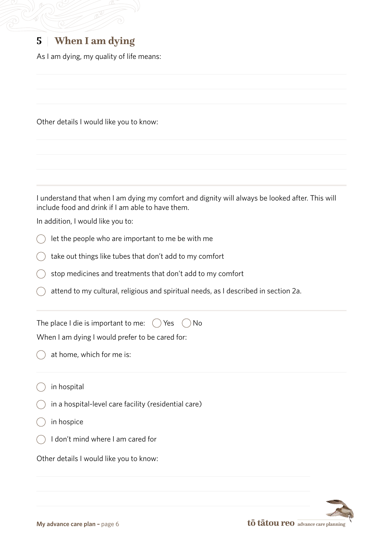## **5** | **When I am dying**

As I am dying, my quality of life means:

Other details I would like you to know:

I understand that when I am dying my comfort and dignity will always be looked after. This will include food and drink if I am able to have them.

In addition, I would like you to:

- let the people who are important to me be with me  $($
- $\bigcirc$  take out things like tubes that don't add to my comfort
- ) stop medicines and treatments that don't add to my comfort
- attend to my cultural, religious and spiritual needs, as I described in section 2a.

The place I die is important to me:  $\bigcirc$  Yes  $\bigcirc$  No

When I am dying I would prefer to be cared for:

at home, which for me is:

in hospital

- $\dot{\ }$  in a hospital-level care facility (residential care)
- ) in hospice
- I don't mind where I am cared for

Other details I would like you to know: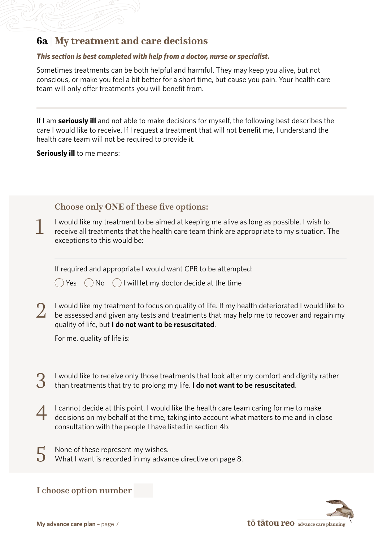## **6a** | **My treatment and care decisions**

#### *This section is best completed with help from a doctor, nurse or specialist.*

Sometimes treatments can be both helpful and harmful. They may keep you alive, but not conscious, or make you feel a bit better for a short time, but cause you pain. Your health care team will only offer treatments you will benefit from.

If I am **seriously ill** and not able to make decisions for myself, the following best describes the care I would like to receive. If I request a treatment that will not benefit me, I understand the health care team will not be required to provide it.

**Seriously ill** to me means:

Choose only **ONE** of these five options:

1 I would like my treatment to be aimed at keeping me alive as long as possible. I wish to receive all treatments that the health care team think are appropriate to my situation. The exceptions to this would be:

If required and appropriate I would want CPR to be attempted:

 $\binom{1}{x}$  Yes  $\binom{1}{x}$  No  $\binom{1}{x}$  will let my doctor decide at the time

1 would like my treatment to focus on quality of life. If my health deteriorated I would like to<br>be assessed and given any tests and treatments that may help me to recover and regain my quality of life, but **I do not want to be resuscitated**.

For me, quality of life is:

3 I would like to receive only those treatments that look after my comfort and dignity rather than treatments that try to prolong my life. **I do not want to be resuscitated**.

- 4 I cannot decide at this point. I would like the health care team caring for me to make decisions on my behalf at the time, taking into account what matters to me and in close consultation with the people I have listed in section 4b.
- 5 None of these represent my wishes. What I want is recorded in my advance directive on page 8.

I choose option number

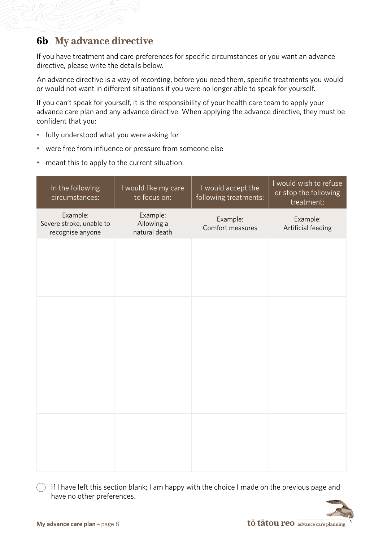## **6b** | **My advance directive**

If you have treatment and care preferences for specific circumstances or you want an advance directive, please write the details below.

An advance directive is a way of recording, before you need them, specific treatments you would or would not want in different situations if you were no longer able to speak for yourself.

If you can't speak for yourself, it is the responsibility of your health care team to apply your advance care plan and any advance directive. When applying the advance directive, they must be confident that you:

- fully understood what you were asking for
- were free from influence or pressure from someone else
- meant this to apply to the current situation.

| In the following<br>circumstances:                       | I would like my care<br>to focus on:    | I would accept the<br>following treatments: | I would wish to refuse<br>or stop the following<br>treatment: |
|----------------------------------------------------------|-----------------------------------------|---------------------------------------------|---------------------------------------------------------------|
| Example:<br>Severe stroke, unable to<br>recognise anyone | Example:<br>Allowing a<br>natural death | Example:<br>Comfort measures                | Example:<br>Artificial feeding                                |
|                                                          |                                         |                                             |                                                               |
|                                                          |                                         |                                             |                                                               |
|                                                          |                                         |                                             |                                                               |
|                                                          |                                         |                                             |                                                               |
|                                                          |                                         |                                             |                                                               |
|                                                          |                                         |                                             |                                                               |
|                                                          |                                         |                                             |                                                               |
|                                                          |                                         |                                             |                                                               |

 $\bigcap$  If I have left this section blank; I am happy with the choice I made on the previous page and have no other preferences.

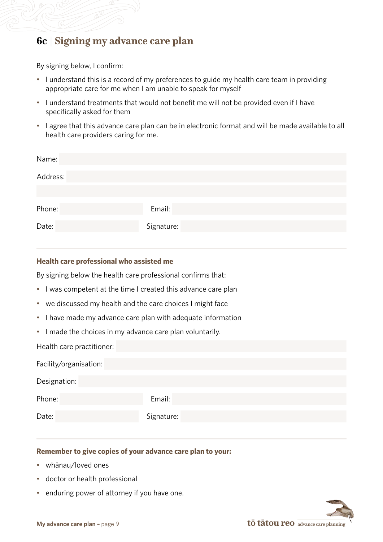## **6c** | **Signing my advance care plan**

By signing below, I confirm:

- I understand this is a record of my preferences to guide my health care team in providing appropriate care for me when I am unable to speak for myself
- I understand treatments that would not benefit me will not be provided even if I have specifically asked for them
- I agree that this advance care plan can be in electronic format and will be made available to all health care providers caring for me.

| Name:    |            |
|----------|------------|
| Address: |            |
|          |            |
| Phone:   | Email:     |
| Date:    | Signature: |
|          |            |

#### **Health care professional who assisted me**

By signing below the health care professional confirms that:

- I was competent at the time I created this advance care plan
- we discussed my health and the care choices I might face
- I have made my advance care plan with adequate information
- I made the choices in my advance care plan voluntarily.

Health care practitioner:

| Facility/organisation: |            |
|------------------------|------------|
| Designation:           |            |
| Phone:                 | Email:     |
| Date:                  | Signature: |

#### **Remember to give copies of your advance care plan to your:**

- whānau/loved ones
- doctor or health professional
- enduring power of attorney if you have one.

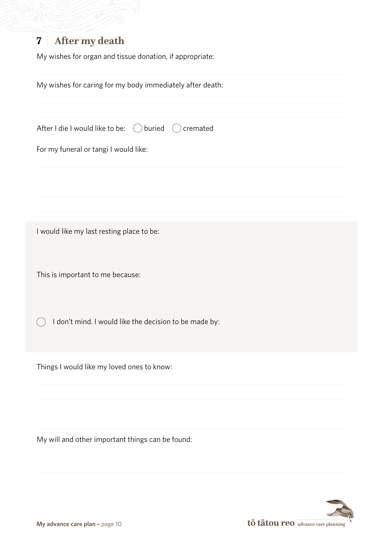## **7** | **After my death**

My wishes for organ and tissue donation, if appropriate:

| My wishes for caring for my body immediately after death:  |
|------------------------------------------------------------|
| After I die I would like to be:<br>buried<br>cremated<br>( |
| For my funeral or tangi I would like:                      |
|                                                            |
|                                                            |
| I would like my last resting place to be:                  |
| This is important to me because:                           |
| I don't mind. I would like the decision to be made by:     |
| Things I would like my loved ones to know:                 |
| My will and other important things can be found:           |
|                                                            |